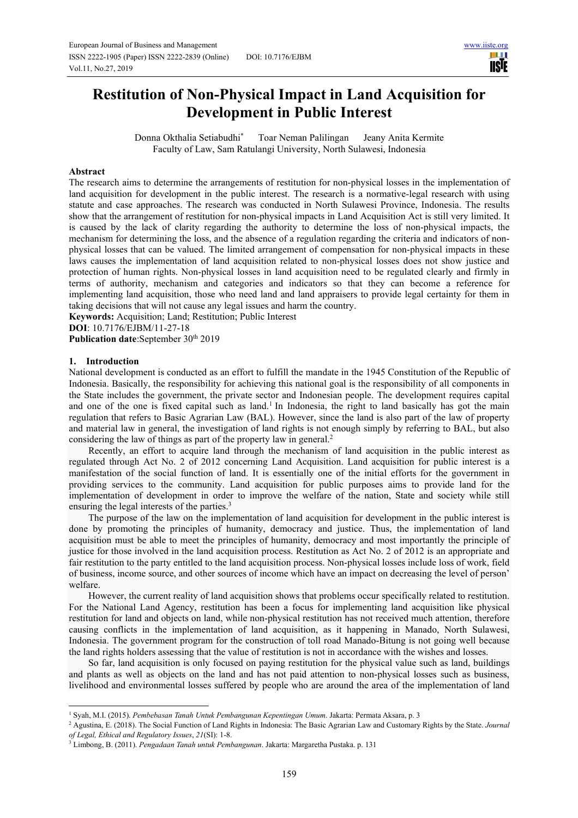шı **USIE** 

# **Restitution of Non-Physical Impact in Land Acquisition for Development in Public Interest**

Donna Okthalia Setiabudhi\* Toar Neman Palilingan Jeany Anita Kermite Faculty of Law, Sam Ratulangi University, North Sulawesi, Indonesia

### **Abstract**

The research aims to determine the arrangements of restitution for non-physical losses in the implementation of land acquisition for development in the public interest. The research is a normative-legal research with using statute and case approaches. The research was conducted in North Sulawesi Province, Indonesia. The results show that the arrangement of restitution for non-physical impacts in Land Acquisition Act is still very limited. It is caused by the lack of clarity regarding the authority to determine the loss of non-physical impacts, the mechanism for determining the loss, and the absence of a regulation regarding the criteria and indicators of nonphysical losses that can be valued. The limited arrangement of compensation for non-physical impacts in these laws causes the implementation of land acquisition related to non-physical losses does not show justice and protection of human rights. Non-physical losses in land acquisition need to be regulated clearly and firmly in terms of authority, mechanism and categories and indicators so that they can become a reference for implementing land acquisition, those who need land and land appraisers to provide legal certainty for them in taking decisions that will not cause any legal issues and harm the country.

**Keywords:** Acquisition; Land; Restitution; Public Interest

**DOI**: 10.7176/EJBM/11-27-18

Publication date:September 30<sup>th</sup> 2019

### **1. Introduction**

National development is conducted as an effort to fulfill the mandate in the 1945 Constitution of the Republic of Indonesia. Basically, the responsibility for achieving this national goal is the responsibility of all components in the State includes the government, the private sector and Indonesian people. The development requires capital and one of the one is fixed capital such as land.<sup>1</sup> In Indonesia, the right to land basically has got the main regulation that refers to Basic Agrarian Law (BAL). However, since the land is also part of the law of property and material law in general, the investigation of land rights is not enough simply by referring to BAL, but also considering the law of things as part of the property law in general.<sup>2</sup>

Recently, an effort to acquire land through the mechanism of land acquisition in the public interest as regulated through Act No. 2 of 2012 concerning Land Acquisition. Land acquisition for public interest is a manifestation of the social function of land. It is essentially one of the initial efforts for the government in providing services to the community. Land acquisition for public purposes aims to provide land for the implementation of development in order to improve the welfare of the nation, State and society while still ensuring the legal interests of the parties.<sup>3</sup>

The purpose of the law on the implementation of land acquisition for development in the public interest is done by promoting the principles of humanity, democracy and justice. Thus, the implementation of land acquisition must be able to meet the principles of humanity, democracy and most importantly the principle of justice for those involved in the land acquisition process. Restitution as Act No. 2 of 2012 is an appropriate and fair restitution to the party entitled to the land acquisition process. Non-physical losses include loss of work, field of business, income source, and other sources of income which have an impact on decreasing the level of person' welfare.

However, the current reality of land acquisition shows that problems occur specifically related to restitution. For the National Land Agency, restitution has been a focus for implementing land acquisition like physical restitution for land and objects on land, while non-physical restitution has not received much attention, therefore causing conflicts in the implementation of land acquisition, as it happening in Manado, North Sulawesi, Indonesia. The government program for the construction of toll road Manado-Bitung is not going well because the land rights holders assessing that the value of restitution is not in accordance with the wishes and losses.

So far, land acquisition is only focused on paying restitution for the physical value such as land, buildings and plants as well as objects on the land and has not paid attention to non-physical losses such as business, livelihood and environmental losses suffered by people who are around the area of the implementation of land

<sup>1</sup> Syah, M.I. (2015). *Pembebasan Tanah Untuk Pembangunan Kepentingan Umum*. Jakarta: Permata Aksara, p. 3

<sup>2</sup> Agustina, E. (2018). The Social Function of Land Rights in Indonesia: The Basic Agrarian Law and Customary Rights by the State. *Journal of Legal, Ethical and Regulatory Issues*, *21*(SI): 1-8.

<sup>3</sup> Limbong, B. (2011). *Pengadaan Tanah untuk Pembangunan*. Jakarta: Margaretha Pustaka. p. 131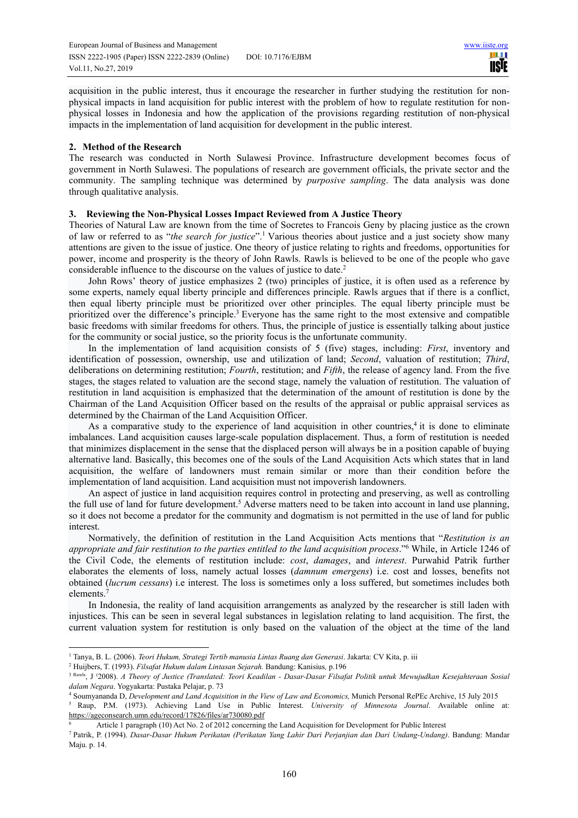acquisition in the public interest, thus it encourage the researcher in further studying the restitution for nonphysical impacts in land acquisition for public interest with the problem of how to regulate restitution for nonphysical losses in Indonesia and how the application of the provisions regarding restitution of non-physical impacts in the implementation of land acquisition for development in the public interest.

## **2. Method of the Research**

The research was conducted in North Sulawesi Province. Infrastructure development becomes focus of government in North Sulawesi. The populations of research are government officials, the private sector and the community. The sampling technique was determined by *purposive sampling*. The data analysis was done through qualitative analysis.

## **3. Reviewing the Non-Physical Losses Impact Reviewed from A Justice Theory**

Theories of Natural Law are known from the time of Socretes to Francois Geny by placing justice as the crown of law or referred to as "*the search for justice*".<sup>1</sup> Various theories about justice and a just society show many attentions are given to the issue of justice. One theory of justice relating to rights and freedoms, opportunities for power, income and prosperity is the theory of John Rawls. Rawls is believed to be one of the people who gave considerable influence to the discourse on the values of justice to date.<sup>2</sup>

John Rows' theory of justice emphasizes 2 (two) principles of justice, it is often used as a reference by some experts, namely equal liberty principle and differences principle. Rawls argues that if there is a conflict, then equal liberty principle must be prioritized over other principles. The equal liberty principle must be prioritized over the difference's principle.<sup>3</sup> Everyone has the same right to the most extensive and compatible basic freedoms with similar freedoms for others. Thus, the principle of justice is essentially talking about justice for the community or social justice, so the priority focus is the unfortunate community.

In the implementation of land acquisition consists of 5 (five) stages, including: *First*, inventory and identification of possession, ownership, use and utilization of land; *Second*, valuation of restitution; *Third*, deliberations on determining restitution; *Fourth*, restitution; and *Fifth*, the release of agency land. From the five stages, the stages related to valuation are the second stage, namely the valuation of restitution. The valuation of restitution in land acquisition is emphasized that the determination of the amount of restitution is done by the Chairman of the Land Acquisition Officer based on the results of the appraisal or public appraisal services as determined by the Chairman of the Land Acquisition Officer.

As a comparative study to the experience of land acquisition in other countries,<sup>4</sup> it is done to eliminate imbalances. Land acquisition causes large-scale population displacement. Thus, a form of restitution is needed that minimizes displacement in the sense that the displaced person will always be in a position capable of buying alternative land. Basically, this becomes one of the souls of the Land Acquisition Acts which states that in land acquisition, the welfare of landowners must remain similar or more than their condition before the implementation of land acquisition. Land acquisition must not impoverish landowners.

An aspect of justice in land acquisition requires control in protecting and preserving, as well as controlling the full use of land for future development.<sup>5</sup> Adverse matters need to be taken into account in land use planning, so it does not become a predator for the community and dogmatism is not permitted in the use of land for public interest.

Normatively, the definition of restitution in the Land Acquisition Acts mentions that "*Restitution is an appropriate and fair restitution to the parties entitled to the land acquisition process*."<sup>6</sup> While, in Article 1246 of the Civil Code, the elements of restitution include: *cost*, *damages*, and *interest*. Purwahid Patrik further elaborates the elements of loss, namely actual losses (*damnum emergens*) i.e. cost and losses, benefits not obtained (*lucrum cessans*) i.e interest. The loss is sometimes only a loss suffered, but sometimes includes both elements.<sup>7</sup>

In Indonesia, the reality of land acquisition arrangements as analyzed by the researcher is still laden with injustices. This can be seen in several legal substances in legislation relating to land acquisition. The first, the current valuation system for restitution is only based on the valuation of the object at the time of the land

<sup>&</sup>lt;sup>1</sup> Tanya, B. L. (2006). *Teori Hukum, Strategi Tertib manusia Lintas Ruang dan Generasi*. Jakarta: CV Kita, p. iii

<sup>2</sup> Huijbers, T. (1993). *Filsafat Hukum dalam Lintasan Sejarah.* Bandung: Kanisius*,* p.196

<sup>3</sup> Rawls, J. (2008). *A Theory of Justice (Translated: Teori Keadilan - Dasar-Dasar Filsafat Politik untuk Mewujudkan Kesejahteraan Sosial dalam Negara*. Yogyakarta: Pustaka Pelajar, p. 73

<sup>4</sup> Soumyananda D, *Development and Land Acquisition in the View of Law and Economics,* Munich Personal RePEc Archive, 15 July 2015 5 Raup, P.M. (1973). Achieving Land Use in Public Interest. *University of Minnesota Journal*. Available online at:

https://ageconsearch.umn.edu/record/17826/files/ar730080.pdf

<sup>6</sup> Article 1 paragraph (10) Act No. 2 of 2012 concerning the Land Acquisition for Development for Public Interest

<sup>7</sup> Patrik, P. (1994). *Dasar-Dasar Hukum Perikatan (Perikatan Yang Lahir Dari Perjanjian dan Dari Undang-Undang)*. Bandung: Mandar Maju. p. 14.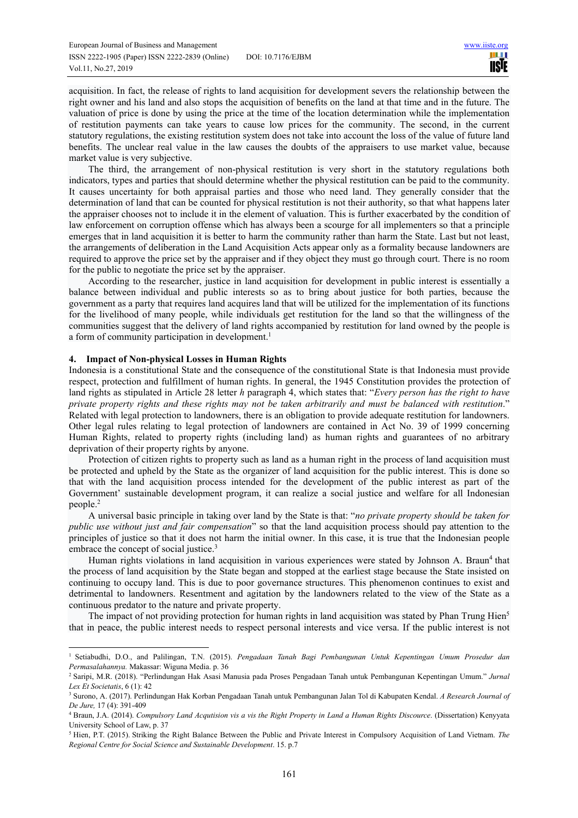acquisition. In fact, the release of rights to land acquisition for development severs the relationship between the right owner and his land and also stops the acquisition of benefits on the land at that time and in the future. The valuation of price is done by using the price at the time of the location determination while the implementation of restitution payments can take years to cause low prices for the community. The second, in the current statutory regulations, the existing restitution system does not take into account the loss of the value of future land benefits. The unclear real value in the law causes the doubts of the appraisers to use market value, because market value is very subjective.

The third, the arrangement of non-physical restitution is very short in the statutory regulations both indicators, types and parties that should determine whether the physical restitution can be paid to the community. It causes uncertainty for both appraisal parties and those who need land. They generally consider that the determination of land that can be counted for physical restitution is not their authority, so that what happens later the appraiser chooses not to include it in the element of valuation. This is further exacerbated by the condition of law enforcement on corruption offense which has always been a scourge for all implementers so that a principle emerges that in land acquisition it is better to harm the community rather than harm the State. Last but not least, the arrangements of deliberation in the Land Acquisition Acts appear only as a formality because landowners are required to approve the price set by the appraiser and if they object they must go through court. There is no room for the public to negotiate the price set by the appraiser.

According to the researcher, justice in land acquisition for development in public interest is essentially a balance between individual and public interests so as to bring about justice for both parties, because the government as a party that requires land acquires land that will be utilized for the implementation of its functions for the livelihood of many people, while individuals get restitution for the land so that the willingness of the communities suggest that the delivery of land rights accompanied by restitution for land owned by the people is a form of community participation in development.<sup>1</sup>

### **4. Impact of Non-physical Losses in Human Rights**

Indonesia is a constitutional State and the consequence of the constitutional State is that Indonesia must provide respect, protection and fulfillment of human rights. In general, the 1945 Constitution provides the protection of land rights as stipulated in Article 28 letter *h* paragraph 4, which states that: "*Every person has the right to have private property rights and these rights may not be taken arbitrarily and must be balanced with restitution*." Related with legal protection to landowners, there is an obligation to provide adequate restitution for landowners. Other legal rules relating to legal protection of landowners are contained in Act No. 39 of 1999 concerning Human Rights, related to property rights (including land) as human rights and guarantees of no arbitrary deprivation of their property rights by anyone.

Protection of citizen rights to property such as land as a human right in the process of land acquisition must be protected and upheld by the State as the organizer of land acquisition for the public interest. This is done so that with the land acquisition process intended for the development of the public interest as part of the Government' sustainable development program, it can realize a social justice and welfare for all Indonesian people.<sup>2</sup>

A universal basic principle in taking over land by the State is that: "*no private property should be taken for public use without just and fair compensation*" so that the land acquisition process should pay attention to the principles of justice so that it does not harm the initial owner. In this case, it is true that the Indonesian people embrace the concept of social justice.<sup>3</sup>

Human rights violations in land acquisition in various experiences were stated by Johnson A. Braun<sup>4</sup> that the process of land acquisition by the State began and stopped at the earliest stage because the State insisted on continuing to occupy land. This is due to poor governance structures. This phenomenon continues to exist and detrimental to landowners. Resentment and agitation by the landowners related to the view of the State as a continuous predator to the nature and private property.

The impact of not providing protection for human rights in land acquisition was stated by Phan Trung Hien<sup>5</sup> that in peace, the public interest needs to respect personal interests and vice versa. If the public interest is not

<sup>1</sup> Setiabudhi, D.O., and Palilingan, T.N. (2015). *Pengadaan Tanah Bagi Pembangunan Untuk Kepentingan Umum Prosedur dan Permasalahannya.* Makassar: Wiguna Media. p. 36

<sup>2</sup> Saripi, M.R. (2018). "Perlindungan Hak Asasi Manusia pada Proses Pengadaan Tanah untuk Pembangunan Kepentingan Umum." *Jurnal Lex Et Societatis*, 6 (1): 42

<sup>3</sup> Surono, A. (2017). Perlindungan Hak Korban Pengadaan Tanah untuk Pembangunan Jalan Tol di Kabupaten Kendal. *A Research Journal of De Jure,* 17 (4): 391-409

<sup>4</sup> Braun, J.A. (2014). *Compulsory Land Acqutision vis a vis the Right Property in Land a Human Rights Discource*. (Dissertation) Kenyyata University School of Law, p. 37

<sup>5</sup> Hien, P.T. (2015). Striking the Right Balance Between the Public and Private Interest in Compulsory Acquisition of Land Vietnam. *The Regional Centre for Social Science and Sustainable Development*. 15. p.7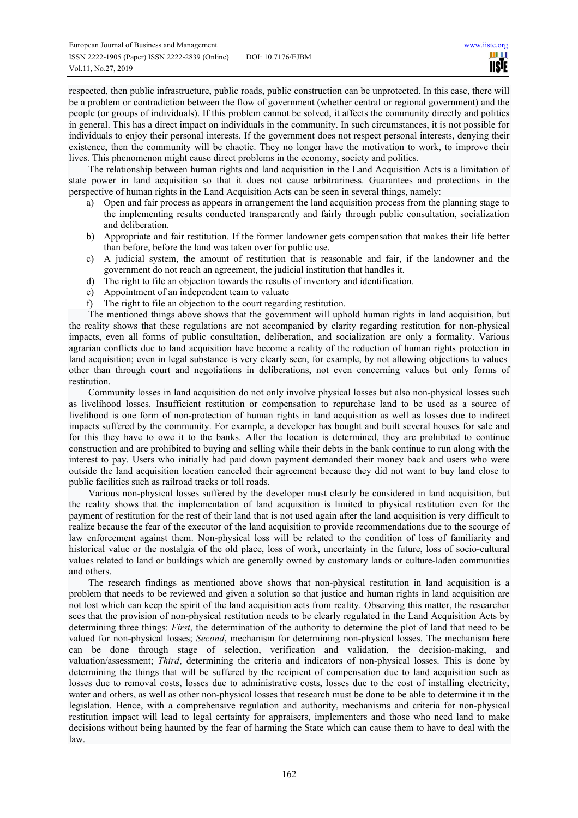respected, then public infrastructure, public roads, public construction can be unprotected. In this case, there will be a problem or contradiction between the flow of government (whether central or regional government) and the people (or groups of individuals). If this problem cannot be solved, it affects the community directly and politics in general. This has a direct impact on individuals in the community. In such circumstances, it is not possible for individuals to enjoy their personal interests. If the government does not respect personal interests, denying their existence, then the community will be chaotic. They no longer have the motivation to work, to improve their lives. This phenomenon might cause direct problems in the economy, society and politics.

The relationship between human rights and land acquisition in the Land Acquisition Acts is a limitation of state power in land acquisition so that it does not cause arbitrariness. Guarantees and protections in the perspective of human rights in the Land Acquisition Acts can be seen in several things, namely:

- a) Open and fair process as appears in arrangement the land acquisition process from the planning stage to the implementing results conducted transparently and fairly through public consultation, socialization and deliberation.
- b) Appropriate and fair restitution. If the former landowner gets compensation that makes their life better than before, before the land was taken over for public use.
- c) A judicial system, the amount of restitution that is reasonable and fair, if the landowner and the government do not reach an agreement, the judicial institution that handles it.
- d) The right to file an objection towards the results of inventory and identification.
- e) Appointment of an independent team to valuate
- f) The right to file an objection to the court regarding restitution.

The mentioned things above shows that the government will uphold human rights in land acquisition, but the reality shows that these regulations are not accompanied by clarity regarding restitution for non-physical impacts, even all forms of public consultation, deliberation, and socialization are only a formality. Various agrarian conflicts due to land acquisition have become a reality of the reduction of human rights protection in land acquisition; even in legal substance is very clearly seen, for example, by not allowing objections to values other than through court and negotiations in deliberations, not even concerning values but only forms of restitution.

Community losses in land acquisition do not only involve physical losses but also non-physical losses such as livelihood losses. Insufficient restitution or compensation to repurchase land to be used as a source of livelihood is one form of non-protection of human rights in land acquisition as well as losses due to indirect impacts suffered by the community. For example, a developer has bought and built several houses for sale and for this they have to owe it to the banks. After the location is determined, they are prohibited to continue construction and are prohibited to buying and selling while their debts in the bank continue to run along with the interest to pay. Users who initially had paid down payment demanded their money back and users who were outside the land acquisition location canceled their agreement because they did not want to buy land close to public facilities such as railroad tracks or toll roads.

Various non-physical losses suffered by the developer must clearly be considered in land acquisition, but the reality shows that the implementation of land acquisition is limited to physical restitution even for the payment of restitution for the rest of their land that is not used again after the land acquisition is very difficult to realize because the fear of the executor of the land acquisition to provide recommendations due to the scourge of law enforcement against them. Non-physical loss will be related to the condition of loss of familiarity and historical value or the nostalgia of the old place, loss of work, uncertainty in the future, loss of socio-cultural values related to land or buildings which are generally owned by customary lands or culture-laden communities and others.

The research findings as mentioned above shows that non-physical restitution in land acquisition is a problem that needs to be reviewed and given a solution so that justice and human rights in land acquisition are not lost which can keep the spirit of the land acquisition acts from reality. Observing this matter, the researcher sees that the provision of non-physical restitution needs to be clearly regulated in the Land Acquisition Acts by determining three things: *First*, the determination of the authority to determine the plot of land that need to be valued for non-physical losses; *Second*, mechanism for determining non-physical losses. The mechanism here can be done through stage of selection, verification and validation, the decision-making, and valuation/assessment; *Third*, determining the criteria and indicators of non-physical losses. This is done by determining the things that will be suffered by the recipient of compensation due to land acquisition such as losses due to removal costs, losses due to administrative costs, losses due to the cost of installing electricity, water and others, as well as other non-physical losses that research must be done to be able to determine it in the legislation. Hence, with a comprehensive regulation and authority, mechanisms and criteria for non-physical restitution impact will lead to legal certainty for appraisers, implementers and those who need land to make decisions without being haunted by the fear of harming the State which can cause them to have to deal with the law.